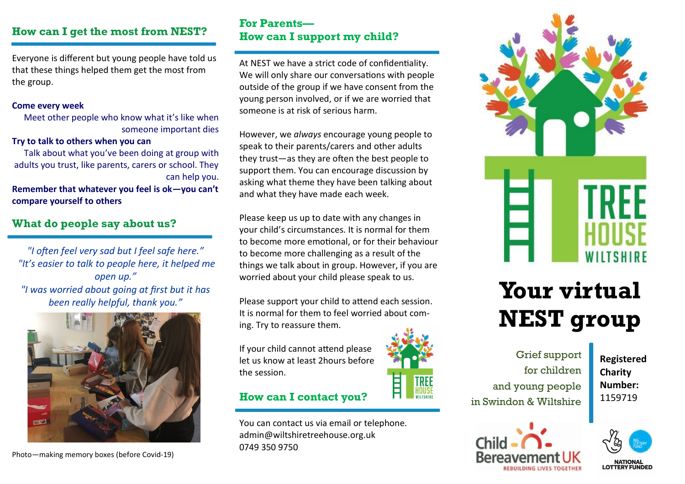# **How can I get the most from NEST?**

Everyone is different but young people have told us that these things helped them get the most from the group.

#### **Come every week**

Meet other people who know what it's like when someone important dies

#### **Try to talk to others when you can**

Talk about what you've been doing at group with adults you trust, like parents, carers or school. They can help you.

**Remember that whatever you feel is ok—you can't compare yourself to others**

# **What do people say about us?**

*"I often feel very sad but I feel safe here." "It's easier to talk to people here, it helped me open up." "I was worried about going at first but it has been really helpful, thank you."* 



Photo—making memory boxes (before Covid-19)

# **For Parents— How can I support my child?**

At NEST we have a strict code of confidentiality. We will only share our conversations with people outside of the group if we have consent from the young person involved, or if we are worried that someone is at risk of serious harm.

However, we *always* encourage young people to speak to their parents/carers and other adults they trust—as they are often the best people to support them. You can encourage discussion by asking what theme they have been talking about and what they have made each week.

Please keep us up to date with any changes in your child's circumstances. It is normal for them to become more emotional, or for their behaviour to become more challenging as a result of the things we talk about in group. However, if you are worried about your child please speak to us.

Please support your child to attend each session. It is normal for them to feel worried about coming. Try to reassure them.

If your child cannot attend please let us know at least 2hours before the session.

# **How can I contact you?**

You can contact us via email or telephone. admin@wiltshiretreehouse.org.uk 0749 350 9750





# **Your virtual NEST group**

Grief support for children and young people in Swindon & Wiltshire

**Registered Charity Number:**  1159719